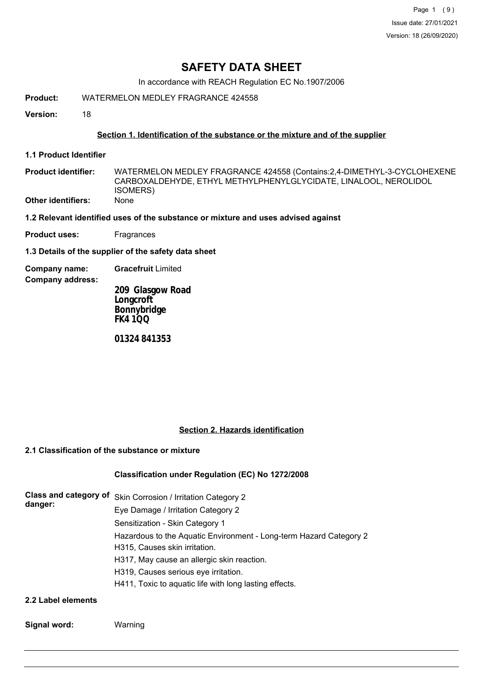Page 1 (9) Issue date: 27/01/2021 Version: 18 (26/09/2020)

# **SAFETY DATA SHEET**

In accordance with REACH Regulation EC No.1907/2006

**Product:** WATERMELON MEDLEY FRAGRANCE 424558

**Version:** 18

# **Section 1. Identification of the substance or the mixture and of the supplier**

**1.1 Product Identifier**

WATERMELON MEDLEY FRAGRANCE 424558 (Contains:2,4-DIMETHYL-3-CYCLOHEXENE CARBOXALDEHYDE, ETHYL METHYLPHENYLGLYCIDATE, LINALOOL, NEROLIDOL ISOMERS) **Product identifier: Other identifiers:** None

**1.2 Relevant identified uses of the substance or mixture and uses advised against**

**Product uses:** Fragrances

**1.3 Details of the supplier of the safety data sheet**

**Company name: Gracefruit** Limited

**Company address:**

**209 Glasgow Road Longcroft Bonnybridge FK4 1QQ**

**01324 841353**

# **Section 2. Hazards identification**

# **2.1 Classification of the substance or mixture**

# **Classification under Regulation (EC) No 1272/2008**

| danger: | Class and category of Skin Corrosion / Irritation Category 2       |
|---------|--------------------------------------------------------------------|
|         | Eye Damage / Irritation Category 2                                 |
|         | Sensitization - Skin Category 1                                    |
|         | Hazardous to the Aquatic Environment - Long-term Hazard Category 2 |
|         | H315, Causes skin irritation.                                      |
|         | H317, May cause an allergic skin reaction.                         |
|         | H319, Causes serious eye irritation.                               |
|         | H411, Toxic to aquatic life with long lasting effects.             |
|         |                                                                    |

**2.2 Label elements**

**Signal word:** Warning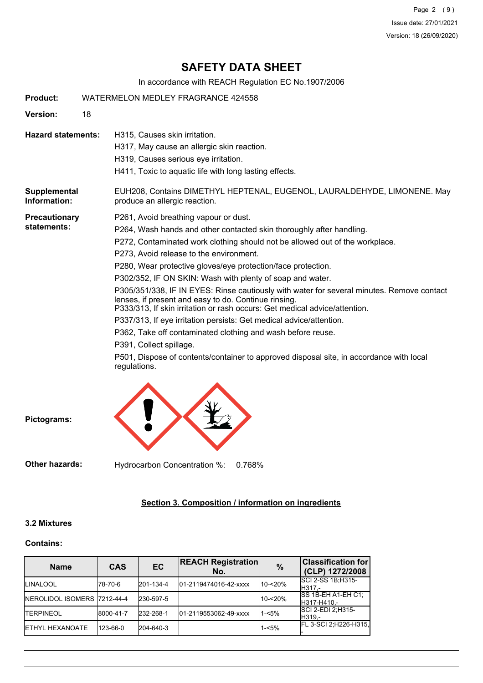Page 2 (9) Issue date: 27/01/2021 Version: 18 (26/09/2020)

# **SAFETY DATA SHEET**

In accordance with REACH Regulation EC No.1907/2006

| <b>Product:</b>                     | WATERMELON MEDLEY FRAGRANCE 424558                                                                                                                                                                                                                                                                                                                                                                                                                                                                                                                                                                                                                                                                                                                                                                                                                                                   |  |  |  |
|-------------------------------------|--------------------------------------------------------------------------------------------------------------------------------------------------------------------------------------------------------------------------------------------------------------------------------------------------------------------------------------------------------------------------------------------------------------------------------------------------------------------------------------------------------------------------------------------------------------------------------------------------------------------------------------------------------------------------------------------------------------------------------------------------------------------------------------------------------------------------------------------------------------------------------------|--|--|--|
| Version:                            | 18                                                                                                                                                                                                                                                                                                                                                                                                                                                                                                                                                                                                                                                                                                                                                                                                                                                                                   |  |  |  |
| <b>Hazard statements:</b>           | H315, Causes skin irritation.<br>H317, May cause an allergic skin reaction.<br>H319, Causes serious eye irritation.<br>H411, Toxic to aquatic life with long lasting effects.                                                                                                                                                                                                                                                                                                                                                                                                                                                                                                                                                                                                                                                                                                        |  |  |  |
| Supplemental<br>Information:        | EUH208, Contains DIMETHYL HEPTENAL, EUGENOL, LAURALDEHYDE, LIMONENE. May<br>produce an allergic reaction.                                                                                                                                                                                                                                                                                                                                                                                                                                                                                                                                                                                                                                                                                                                                                                            |  |  |  |
| <b>Precautionary</b><br>statements: | P261, Avoid breathing vapour or dust.<br>P264, Wash hands and other contacted skin thoroughly after handling.<br>P272, Contaminated work clothing should not be allowed out of the workplace.<br>P273, Avoid release to the environment.<br>P280, Wear protective gloves/eye protection/face protection.<br>P302/352, IF ON SKIN: Wash with plenty of soap and water.<br>P305/351/338, IF IN EYES: Rinse cautiously with water for several minutes. Remove contact<br>lenses, if present and easy to do. Continue rinsing.<br>P333/313, If skin irritation or rash occurs: Get medical advice/attention.<br>P337/313, If eye irritation persists: Get medical advice/attention.<br>P362, Take off contaminated clothing and wash before reuse.<br>P391, Collect spillage.<br>P501, Dispose of contents/container to approved disposal site, in accordance with local<br>regulations. |  |  |  |



**Other hazards:** Hydrocarbon Concentration %: 0.768%

# **Section 3. Composition / information on ingredients**

# **3.2 Mixtures**

# **Contains:**

| <b>Name</b>                         | <b>CAS</b> | EC        | <b>REACH Registration</b><br>No. | $\%$       | <b>Classification for</b><br>(CLP) 1272/2008 |
|-------------------------------------|------------|-----------|----------------------------------|------------|----------------------------------------------|
| <b>ILINALOOL</b>                    | 78-70-6    | 201-134-4 | 01-2119474016-42-xxxx            | 10-<20%    | SCI 2-SS 1B; H315-<br>H317.-                 |
| <b>INEROLIDOL ISOMERS 7212-44-4</b> |            | 230-597-5 |                                  | $10 - 20%$ | ISS 1B-EH A1-EH C1:<br>H317-H410.-           |
| <b>ITERPINEOL</b>                   | 8000-41-7  | 232-268-1 | 01-2119553062-49-xxxx            | $1 - 5%$   | ISCI 2-EDI 2:H315-<br>H319.-                 |
| <b>IETHYL HEXANOATE</b>             | 123-66-0   | 204-640-3 |                                  | $1 - 5%$   | FL 3-SCI 2, H226-H315,                       |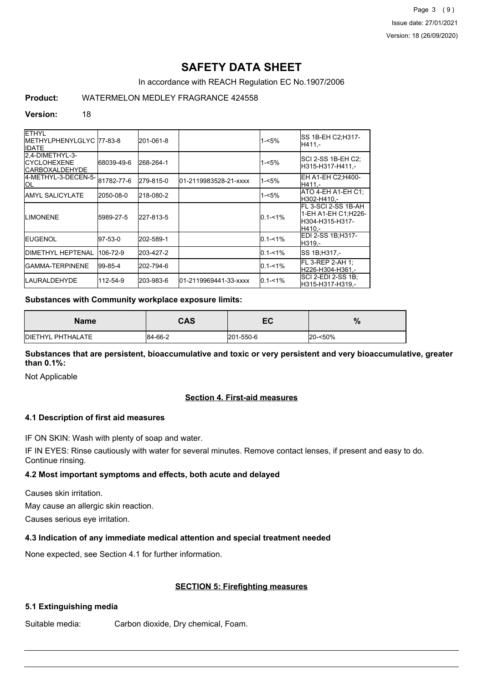Page 3 (9) Issue date: 27/01/2021 Version: 18 (26/09/2020)

# **SAFETY DATA SHEET**

In accordance with REACH Regulation EC No.1907/2006

# **Product:** WATERMELON MEDLEY FRAGRANCE 424558

#### **Version:** 18

| <b>ETHYL</b><br>IMETHYLPHENYLGLYC 77-83-8<br><b>IIDATE</b>       |            | 201-061-8 |                       | 1-<5%       | SS 1B-EH C2;H317-<br>H411,-                                              |
|------------------------------------------------------------------|------------|-----------|-----------------------|-------------|--------------------------------------------------------------------------|
| 2.4-DIMETHYL-3-<br><b>ICYCLOHEXENE</b><br><b>ICARBOXALDEHYDE</b> | 68039-49-6 | 268-264-1 |                       | 1-<5%       | SCI 2-SS 1B-EH C2;<br>H315-H317-H411.-                                   |
| 4-METHYL-3-DECEN-5-1<br><b>OL</b>                                | 81782-77-6 | 279-815-0 | 01-2119983528-21-xxxx | $1 - 5%$    | EH A1-EH C2;H400-<br>H411.-                                              |
| <b>IAMYL SALICYLATE</b>                                          | 2050-08-0  | 218-080-2 |                       | 1-<5%       | ATO 4-EH A1-EH C1:<br>H302-H410.-                                        |
| <b>ILIMONENE</b>                                                 | 5989-27-5  | 227-813-5 |                       | $0.1 - 1\%$ | IFL 3-SCI 2-SS 1B-AH<br>1-EH A1-EH C1;H226-<br>H304-H315-H317-<br>H410.- |
| <b>IEUGENOL</b>                                                  | $97-53-0$  | 202-589-1 |                       | $0.1 - 1\%$ | EDI 2-SS 1B:H317-<br>H319.-                                              |
| <b>JDIMETHYL HEPTENAL</b>                                        | 106-72-9   | 203-427-2 |                       | $0.1 - 1\%$ | SS 1B; H317,-                                                            |
| IGAMMA-TERPINENE                                                 | 99-85-4    | 202-794-6 |                       | $0.1 - 1\%$ | FL 3-REP 2-AH 1:<br>H226-H304-H361.-                                     |
| <b>ILAURALDEHYDE</b>                                             | 112-54-9   | 203-983-6 | 01-2119969441-33-xxxx | $0.1 - 1\%$ | SCI 2-EDI 2-SS 1B:<br>H315-H317-H319,-                                   |

#### **Substances with Community workplace exposure limits:**

| <b>Name</b>               | CAS     | -0<br>cu  | $\%$    |
|---------------------------|---------|-----------|---------|
| <b>IDIETHYL PHTHALATE</b> | 84-66-2 | 201-550-6 | 20-<50% |

**Substances that are persistent, bioaccumulative and toxic or very persistent and very bioaccumulative, greater than 0.1%:**

Not Applicable

# **Section 4. First-aid measures**

# **4.1 Description of first aid measures**

IF ON SKIN: Wash with plenty of soap and water.

IF IN EYES: Rinse cautiously with water for several minutes. Remove contact lenses, if present and easy to do. Continue rinsing.

# **4.2 Most important symptoms and effects, both acute and delayed**

Causes skin irritation.

May cause an allergic skin reaction.

Causes serious eye irritation.

# **4.3 Indication of any immediate medical attention and special treatment needed**

None expected, see Section 4.1 for further information.

# **SECTION 5: Firefighting measures**

# **5.1 Extinguishing media**

Suitable media: Carbon dioxide, Dry chemical, Foam.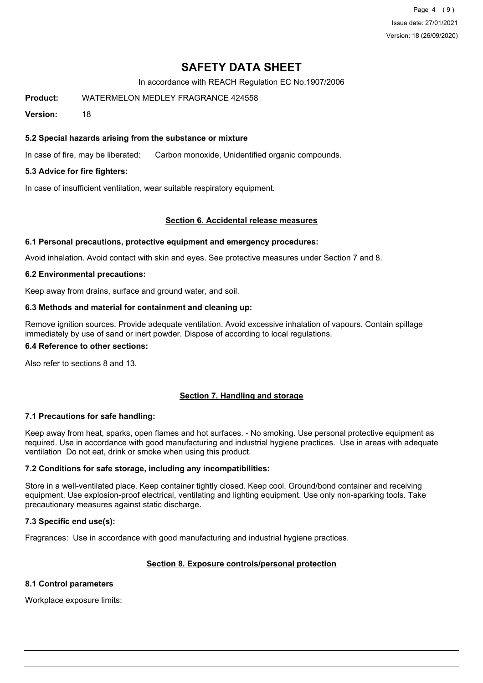Page 4 (9) Issue date: 27/01/2021 Version: 18 (26/09/2020)

# **SAFETY DATA SHEET**

In accordance with REACH Regulation EC No.1907/2006

**Product:** WATERMELON MEDLEY FRAGRANCE 424558

**Version:** 18

# **5.2 Special hazards arising from the substance or mixture**

In case of fire, may be liberated: Carbon monoxide, Unidentified organic compounds.

# **5.3 Advice for fire fighters:**

In case of insufficient ventilation, wear suitable respiratory equipment.

# **Section 6. Accidental release measures**

# **6.1 Personal precautions, protective equipment and emergency procedures:**

Avoid inhalation. Avoid contact with skin and eyes. See protective measures under Section 7 and 8.

# **6.2 Environmental precautions:**

Keep away from drains, surface and ground water, and soil.

# **6.3 Methods and material for containment and cleaning up:**

Remove ignition sources. Provide adequate ventilation. Avoid excessive inhalation of vapours. Contain spillage immediately by use of sand or inert powder. Dispose of according to local regulations.

#### **6.4 Reference to other sections:**

Also refer to sections 8 and 13.

# **Section 7. Handling and storage**

# **7.1 Precautions for safe handling:**

Keep away from heat, sparks, open flames and hot surfaces. - No smoking. Use personal protective equipment as required. Use in accordance with good manufacturing and industrial hygiene practices. Use in areas with adequate ventilation Do not eat, drink or smoke when using this product.

# **7.2 Conditions for safe storage, including any incompatibilities:**

Store in a well-ventilated place. Keep container tightly closed. Keep cool. Ground/bond container and receiving equipment. Use explosion-proof electrical, ventilating and lighting equipment. Use only non-sparking tools. Take precautionary measures against static discharge.

# **7.3 Specific end use(s):**

Fragrances: Use in accordance with good manufacturing and industrial hygiene practices.

# **Section 8. Exposure controls/personal protection**

# **8.1 Control parameters**

Workplace exposure limits: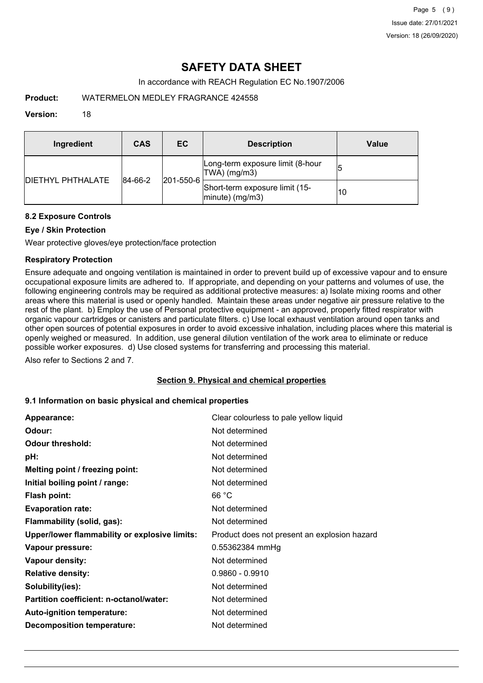# **SAFETY DATA SHEET**

In accordance with REACH Regulation EC No.1907/2006

**Product:** WATERMELON MEDLEY FRAGRANCE 424558

# **Version:** 18

| Ingredient                | CAS                          | EC.                                                  | <b>Description</b>                               | Value |
|---------------------------|------------------------------|------------------------------------------------------|--------------------------------------------------|-------|
| <b>IDIETHYL PHTHALATE</b> | $ 201 - 550 - 6 $<br>84-66-2 |                                                      | Long-term exposure limit (8-hour<br>TWA) (mg/m3) | 15    |
|                           |                              | Short-term exposure limit (15-<br>$ minute)$ (mg/m3) | 10                                               |       |

# **8.2 Exposure Controls**

# **Eye / Skin Protection**

Wear protective gloves/eye protection/face protection

# **Respiratory Protection**

Ensure adequate and ongoing ventilation is maintained in order to prevent build up of excessive vapour and to ensure occupational exposure limits are adhered to. If appropriate, and depending on your patterns and volumes of use, the following engineering controls may be required as additional protective measures: a) Isolate mixing rooms and other areas where this material is used or openly handled. Maintain these areas under negative air pressure relative to the rest of the plant. b) Employ the use of Personal protective equipment - an approved, properly fitted respirator with organic vapour cartridges or canisters and particulate filters. c) Use local exhaust ventilation around open tanks and other open sources of potential exposures in order to avoid excessive inhalation, including places where this material is openly weighed or measured. In addition, use general dilution ventilation of the work area to eliminate or reduce possible worker exposures. d) Use closed systems for transferring and processing this material.

Also refer to Sections 2 and 7.

# **Section 9. Physical and chemical properties**

# **9.1 Information on basic physical and chemical properties**

| Appearance:                                   | Clear colourless to pale yellow liquid       |
|-----------------------------------------------|----------------------------------------------|
| Odour:                                        | Not determined                               |
| <b>Odour threshold:</b>                       | Not determined                               |
| pH:                                           | Not determined                               |
| Melting point / freezing point:               | Not determined                               |
| Initial boiling point / range:                | Not determined                               |
| <b>Flash point:</b>                           | 66 °C                                        |
| <b>Evaporation rate:</b>                      | Not determined                               |
| Flammability (solid, gas):                    | Not determined                               |
| Upper/lower flammability or explosive limits: | Product does not present an explosion hazard |
| Vapour pressure:                              | 0.55362384 mmHg                              |
| Vapour density:                               | Not determined                               |
| <b>Relative density:</b>                      | $0.9860 - 0.9910$                            |
| Solubility(ies):                              | Not determined                               |
| Partition coefficient: n-octanol/water:       | Not determined                               |
| Auto-ignition temperature:                    | Not determined                               |
| <b>Decomposition temperature:</b>             | Not determined                               |
|                                               |                                              |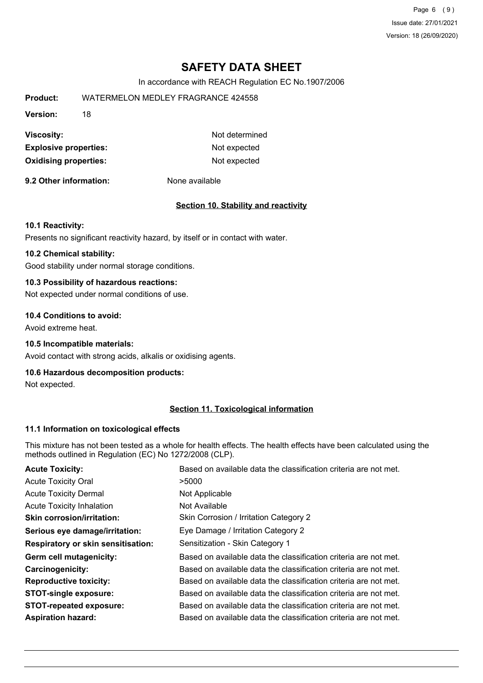Page 6 (9) Issue date: 27/01/2021 Version: 18 (26/09/2020)

# **SAFETY DATA SHEET**

In accordance with REACH Regulation EC No.1907/2006

| WATERMELON MEDLEY FRAGRANCE 424558 |                |  |
|------------------------------------|----------------|--|
| 18                                 |                |  |
|                                    | Not determined |  |
| <b>Explosive properties:</b>       | Not expected   |  |
| <b>Oxidising properties:</b>       | Not expected   |  |
|                                    |                |  |

**9.2 Other information:** None available

#### **Section 10. Stability and reactivity**

#### **10.1 Reactivity:**

Presents no significant reactivity hazard, by itself or in contact with water.

# **10.2 Chemical stability:**

Good stability under normal storage conditions.

# **10.3 Possibility of hazardous reactions:**

Not expected under normal conditions of use.

# **10.4 Conditions to avoid:**

Avoid extreme heat.

# **10.5 Incompatible materials:**

Avoid contact with strong acids, alkalis or oxidising agents.

#### **10.6 Hazardous decomposition products:**

Not expected.

# **Section 11. Toxicological information**

#### **11.1 Information on toxicological effects**

This mixture has not been tested as a whole for health effects. The health effects have been calculated using the methods outlined in Regulation (EC) No 1272/2008 (CLP).

| <b>Acute Toxicity:</b>                    | Based on available data the classification criteria are not met. |
|-------------------------------------------|------------------------------------------------------------------|
| <b>Acute Toxicity Oral</b>                | >5000                                                            |
| <b>Acute Toxicity Dermal</b>              | Not Applicable                                                   |
| <b>Acute Toxicity Inhalation</b>          | Not Available                                                    |
| <b>Skin corrosion/irritation:</b>         | Skin Corrosion / Irritation Category 2                           |
| Serious eye damage/irritation:            | Eye Damage / Irritation Category 2                               |
| <b>Respiratory or skin sensitisation:</b> | Sensitization - Skin Category 1                                  |
| Germ cell mutagenicity:                   | Based on available data the classification criteria are not met. |
| <b>Carcinogenicity:</b>                   | Based on available data the classification criteria are not met. |
| <b>Reproductive toxicity:</b>             | Based on available data the classification criteria are not met. |
| <b>STOT-single exposure:</b>              | Based on available data the classification criteria are not met. |
| <b>STOT-repeated exposure:</b>            | Based on available data the classification criteria are not met. |
| <b>Aspiration hazard:</b>                 | Based on available data the classification criteria are not met. |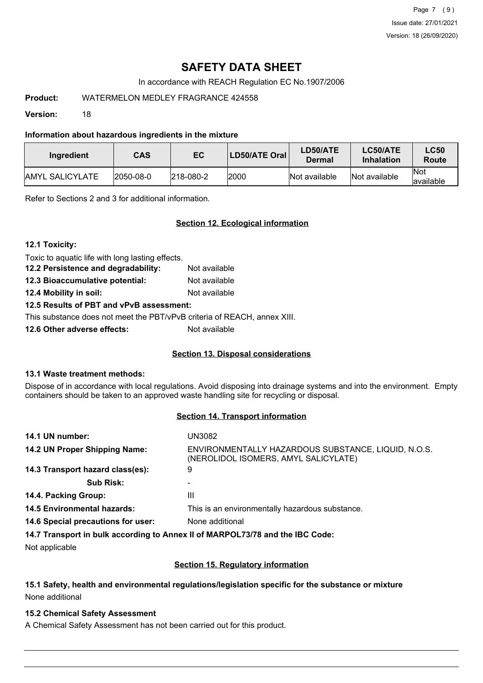Page 7 (9) Issue date: 27/01/2021 Version: 18 (26/09/2020)

# **SAFETY DATA SHEET**

In accordance with REACH Regulation EC No.1907/2006

# **Product:** WATERMELON MEDLEY FRAGRANCE 424558

**Version:** 18

# **Information about hazardous ingredients in the mixture**

| Ingredient              | <b>CAS</b>        | EC                | LD50/ATE Oral | LD50/ATE<br>Dermal | LC50/ATE<br><b>Inhalation</b> | <b>LC50</b><br>Route     |
|-------------------------|-------------------|-------------------|---------------|--------------------|-------------------------------|--------------------------|
| <b>JAMYL SALICYLATE</b> | $ 2050 - 08 - 0 $ | $ 218 - 080 - 2 $ | 2000          | Not available      | Not available                 | <b>Not</b><br>lavailable |

Refer to Sections 2 and 3 for additional information.

# **Section 12. Ecological information**

**12.1 Toxicity:**

Toxic to aquatic life with long lasting effects.

**12.2 Persistence and degradability:** Not available **12.3 Bioaccumulative potential:** Not available

**12.4 Mobility in soil:** Not available

# **12.5 Results of PBT and vPvB assessment:**

This substance does not meet the PBT/vPvB criteria of REACH, annex XIII.

**12.6 Other adverse effects:** Not available

# **Section 13. Disposal considerations**

# **13.1 Waste treatment methods:**

Dispose of in accordance with local regulations. Avoid disposing into drainage systems and into the environment. Empty containers should be taken to an approved waste handling site for recycling or disposal.

# **Section 14. Transport information**

| 14.1 UN number:                                                               | UN3082                                                                                      |
|-------------------------------------------------------------------------------|---------------------------------------------------------------------------------------------|
| 14.2 UN Proper Shipping Name:                                                 | ENVIRONMENTALLY HAZARDOUS SUBSTANCE, LIQUID, N.O.S.<br>(NEROLIDOL ISOMERS, AMYL SALICYLATE) |
| 14.3 Transport hazard class(es):                                              | 9                                                                                           |
| <b>Sub Risk:</b>                                                              |                                                                                             |
| 14.4. Packing Group:                                                          | Ш                                                                                           |
| <b>14.5 Environmental hazards:</b>                                            | This is an environmentally hazardous substance.                                             |
| 14.6 Special precautions for user:                                            | None additional                                                                             |
| 14.7 Transport in bulk according to Annex II of MARPOL73/78 and the IBC Code: |                                                                                             |

Not applicable

# **Section 15. Regulatory information**

# **15.1 Safety, health and environmental regulations/legislation specific for the substance or mixture** None additional

# **15.2 Chemical Safety Assessment**

A Chemical Safety Assessment has not been carried out for this product.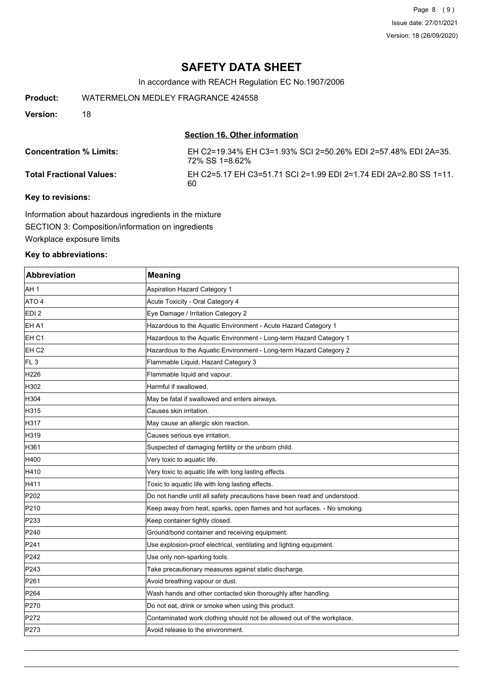Page 8 (9) Issue date: 27/01/2021 Version: 18 (26/09/2020)

# **SAFETY DATA SHEET**

In accordance with REACH Regulation EC No.1907/2006

**Product:** WATERMELON MEDLEY FRAGRANCE 424558

**Version:** 18

# **Section 16. Other information**

| <b>Concentration % Limits:</b>  | EH C2=19.34% EH C3=1.93% SCI 2=50.26% EDI 2=57.48% EDI 2A=35.<br>72% SS 1=8.62% |
|---------------------------------|---------------------------------------------------------------------------------|
| <b>Total Fractional Values:</b> | EH C2=5.17 EH C3=51.71 SCI 2=1.99 EDI 2=1.74 EDI 2A=2.80 SS 1=11.<br>60         |

# **Key to revisions:**

Information about hazardous ingredients in the mixture SECTION 3: Composition/information on ingredients Workplace exposure limits

# **Key to abbreviations:**

| <b>Abbreviation</b> | <b>Meaning</b>                                                            |
|---------------------|---------------------------------------------------------------------------|
| AH 1                | <b>Aspiration Hazard Category 1</b>                                       |
| ATO 4               | Acute Toxicity - Oral Category 4                                          |
| EDI 2               | Eye Damage / Irritation Category 2                                        |
| EH A1               | Hazardous to the Aquatic Environment - Acute Hazard Category 1            |
| EH <sub>C1</sub>    | Hazardous to the Aquatic Environment - Long-term Hazard Category 1        |
| EH <sub>C2</sub>    | Hazardous to the Aquatic Environment - Long-term Hazard Category 2        |
| FL <sub>3</sub>     | Flammable Liquid, Hazard Category 3                                       |
| H <sub>226</sub>    | Flammable liquid and vapour.                                              |
| H302                | Harmful if swallowed.                                                     |
| H304                | May be fatal if swallowed and enters airways.                             |
| H315                | Causes skin irritation.                                                   |
| H317                | May cause an allergic skin reaction.                                      |
| H319                | Causes serious eye irritation.                                            |
| H361                | Suspected of damaging fertility or the unborn child.                      |
| H400                | Very toxic to aquatic life.                                               |
| H410                | Very toxic to aquatic life with long lasting effects.                     |
| H411                | Toxic to aquatic life with long lasting effects.                          |
| P202                | Do not handle until all safety precautions have been read and understood. |
| P210                | Keep away from heat, sparks, open flames and hot surfaces. - No smoking.  |
| P233                | Keep container tightly closed.                                            |
| P240                | Ground/bond container and receiving equipment.                            |
| P241                | Use explosion-proof electrical, ventilating and lighting equipment.       |
| P242                | Use only non-sparking tools.                                              |
| P243                | Take precautionary measures against static discharge.                     |
| P261                | Avoid breathing vapour or dust.                                           |
| P264                | Wash hands and other contacted skin thoroughly after handling.            |
| P270                | Do not eat, drink or smoke when using this product.                       |
| P272                | Contaminated work clothing should not be allowed out of the workplace.    |
| P273                | Avoid release to the environment.                                         |